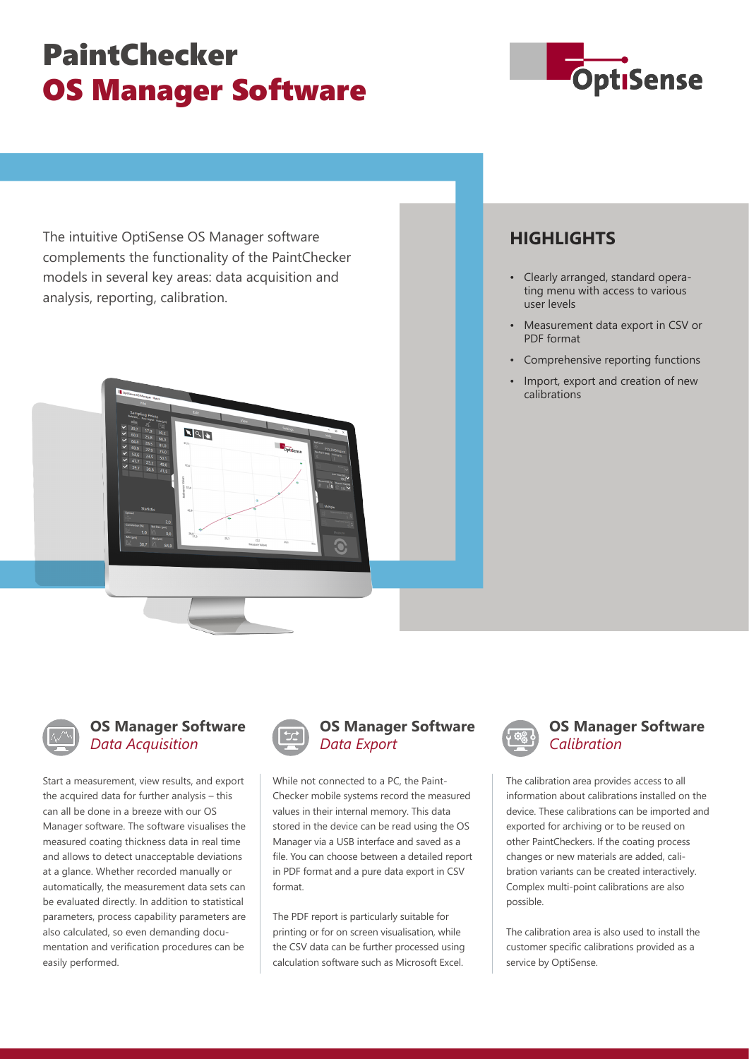# **PaintChecker OS Manager Software**



The intuitive OptiSense OS Manager software complements the functionality of the PaintChecker models in several key areas: data acquisition and analysis, reporting, calibration.



### **HIGHLIGHTS**

- Clearly arranged, standard operating menu with access to various user levels
- Measurement data export in CSV or PDF format
- Comprehensive reporting functions
- Import, export and creation of new calibrations



#### **OS Manager Software** *Data Acquisition*

Start a measurement, view results, and export the acquired data for further analysis – this can all be done in a breeze with our OS Manager software. The software visualises the measured coating thickness data in real time and allows to detect unacceptable deviations at a glance. Whether recorded manually or automatically, the measurement data sets can be evaluated directly. In addition to statistical parameters, process capability parameters are also calculated, so even demanding documentation and verification procedures can be easily performed.



#### **OS Manager Software** *Data Export*

While not connected to a PC, the Paint-Checker mobile systems record the measured values in their internal memory. This data stored in the device can be read using the OS Manager via a USB interface and saved as a file. You can choose between a detailed report in PDF format and a pure data export in CSV format.

The PDF report is particularly suitable for printing or for on screen visualisation, while the CSV data can be further processed using calculation software such as Microsoft Excel.



#### **OS Manager Software** *Calibration*

The calibration area provides access to all information about calibrations installed on the device. These calibrations can be imported and exported for archiving or to be reused on other PaintCheckers. If the coating process changes or new materials are added, calibration variants can be created interactively. Complex multi-point calibrations are also possible.

The calibration area is also used to install the customer specific calibrations provided as a service by OptiSense.